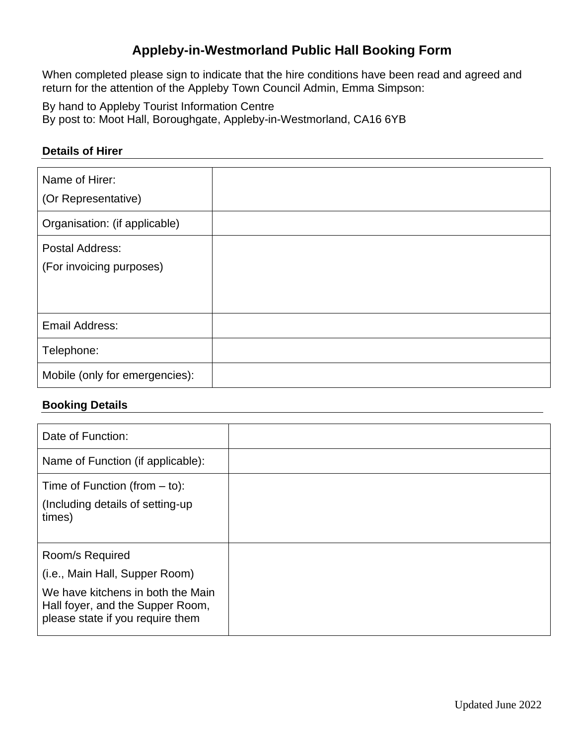# **Appleby-in-Westmorland Public Hall Booking Form**

When completed please sign to indicate that the hire conditions have been read and agreed and return for the attention of the Appleby Town Council Admin, Emma Simpson:

By hand to Appleby Tourist Information Centre By post to: Moot Hall, Boroughgate, Appleby-in-Westmorland, CA16 6YB

#### **Details of Hirer**

| Name of Hirer:<br>(Or Representative)       |  |
|---------------------------------------------|--|
| Organisation: (if applicable)               |  |
| Postal Address:<br>(For invoicing purposes) |  |
| Email Address:                              |  |
| Telephone:                                  |  |
| Mobile (only for emergencies):              |  |

### **Booking Details**

| Date of Function:                                                                                         |  |
|-----------------------------------------------------------------------------------------------------------|--|
| Name of Function (if applicable):                                                                         |  |
| Time of Function (from $-$ to):                                                                           |  |
| (Including details of setting-up)<br>times)                                                               |  |
| Room/s Required                                                                                           |  |
| (i.e., Main Hall, Supper Room)                                                                            |  |
| We have kitchens in both the Main<br>Hall foyer, and the Supper Room,<br>please state if you require them |  |